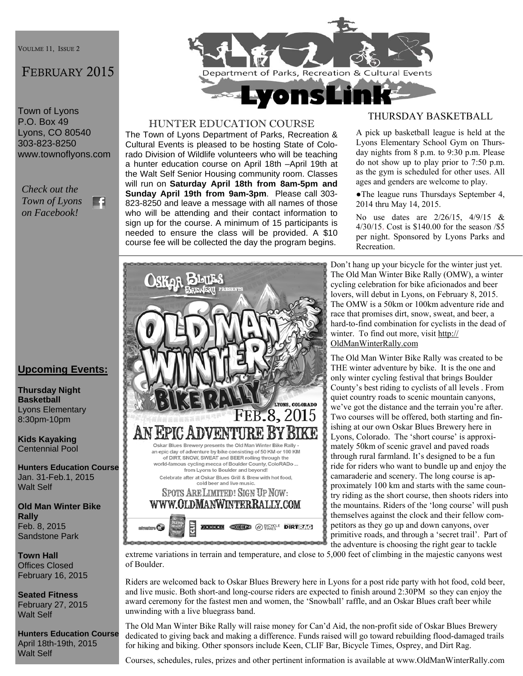VOULME 11, ISSUE 2

# FEBRUARY 2015

Town of Lyons P.O. Box 49 Lyons, CO 80540 303-823-8250 www.townoflyons.com

*Check out the Town of Lyons*  m *on Facebook!* 

## **Upcoming Events:**

**Thursday Night Basketball**  Lyons Elementary 8:30pm-10pm

**Kids Kayaking**  Centennial Pool

**Hunters Education Course**  Jan. 31-Feb.1, 2015 Walt Self

**Old Man Winter Bike Rally**  Feb. 8, 2015 Sandstone Park

**Town Hall**  Offices Closed February 16, 2015

**Seated Fitness**  February 27, 2015 Walt Self

**Hunters Education Course**  April 18th-19th, 2015 Walt Self



#### HUNTER EDUCATION COURSE

The Town of Lyons Department of Parks, Recreation & Cultural Events is pleased to be hosting State of Colorado Division of Wildlife volunteers who will be teaching a hunter education course on April 18th –April 19th at the Walt Self Senior Housing community room. Classes will run on **Saturday April 18th from 8am-5pm and Sunday April 19th from 9am-3pm**. Please call 303- 823-8250 and leave a message with all names of those who will be attending and their contact information to sign up for the course. A minimum of 15 participants is needed to ensure the class will be provided. A \$10 course fee will be collected the day the program begins.

#### THURSDAY BASKETBALL

A pick up basketball league is held at the Lyons Elementary School Gym on Thursday nights from 8 p.m. to 9:30 p.m. Please do not show up to play prior to 7:50 p.m. as the gym is scheduled for other uses. All ages and genders are welcome to play.

●The league runs Thursdays September 4, 2014 thru May 14, 2015.

No use dates are 2/26/15, 4/9/15 & 4/30/15. Cost is \$140.00 for the season /\$5 per night. Sponsored by Lyons Parks and Recreation.



Don't hang up your bicycle for the winter just yet. The Old Man Winter Bike Rally (OMW), a winter cycling celebration for bike aficionados and beer lovers, will debut in Lyons, on February 8, 2015. The OMW is a 50km or 100km adventure ride and race that promises dirt, snow, sweat, and beer, a hard-to-find combination for cyclists in the dead of winter. To find out more, visit http:// OldManWinterRally.com

The Old Man Winter Bike Rally was created to be THE winter adventure by bike. It is the one and only winter cycling festival that brings Boulder County's best riding to cyclists of all levels . From quiet country roads to scenic mountain canyons, we've got the distance and the terrain you're after. Two courses will be offered, both starting and finishing at our own Oskar Blues Brewery here in Lyons, Colorado. The 'short course' is approximately 50km of scenic gravel and paved roads through rural farmland. It's designed to be a fun ride for riders who want to bundle up and enjoy the camaraderie and scenery. The long course is approximately 100 km and starts with the same country riding as the short course, then shoots riders into the mountains. Riders of the 'long course' will push themselves against the clock and their fellow competitors as they go up and down canyons, over primitive roads, and through a 'secret trail'. Part of the adventure is choosing the right gear to tackle

extreme variations in terrain and temperature, and close to 5,000 feet of climbing in the majestic canyons west of Boulder.

Riders are welcomed back to Oskar Blues Brewery here in Lyons for a post ride party with hot food, cold beer, and live music. Both short-and long-course riders are expected to finish around 2:30PM so they can enjoy the award ceremony for the fastest men and women, the 'Snowball' raffle, and an Oskar Blues craft beer while unwinding with a live bluegrass band.

The Old Man Winter Bike Rally will raise money for Can'd Aid, the non-profit side of Oskar Blues Brewery dedicated to giving back and making a difference. Funds raised will go toward rebuilding flood-damaged trails for hiking and biking. Other sponsors include Keen, CLIF Bar, Bicycle Times, Osprey, and Dirt Rag.

Courses, schedules, rules, prizes and other pertinent information is available at www.OldManWinterRally.com